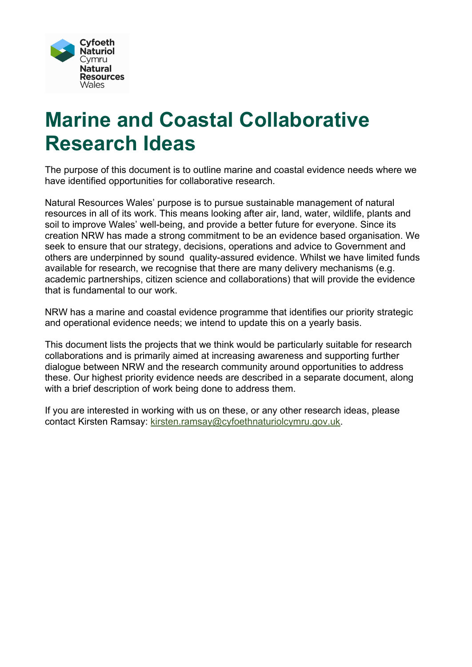

# **Marine and Coastal Collaborative Research Ideas**

The purpose of this document is to outline marine and coastal evidence needs where we have identified opportunities for collaborative research.

Natural Resources Wales' purpose is to pursue sustainable management of natural resources in all of its work. This means looking after air, land, water, wildlife, plants and soil to improve Wales' well-being, and provide a better future for everyone. Since its creation NRW has made a strong commitment to be an evidence based organisation. We seek to ensure that our strategy, decisions, operations and advice to Government and others are underpinned by sound quality-assured evidence. Whilst we have limited funds available for research, we recognise that there are many delivery mechanisms (e.g. academic partnerships, citizen science and collaborations) that will provide the evidence that is fundamental to our work.

NRW has a marine and coastal evidence programme that identifies our priority strategic and operational evidence needs; we intend to update this on a yearly basis.

This document lists the projects that we think would be particularly suitable for research collaborations and is primarily aimed at increasing awareness and supporting further dialogue between NRW and the research community around opportunities to address these. Our highest priority evidence needs are described in a separate document, along with a brief description of work being done to address them.

If you are interested in working with us on these, or any other research ideas, please contact Kirsten Ramsay: [kirsten.ramsay@cyfoethnaturiolcymru.gov.uk.](mailto:kirsten.ramsay@cyfoethnaturiolcymru.gov.uk)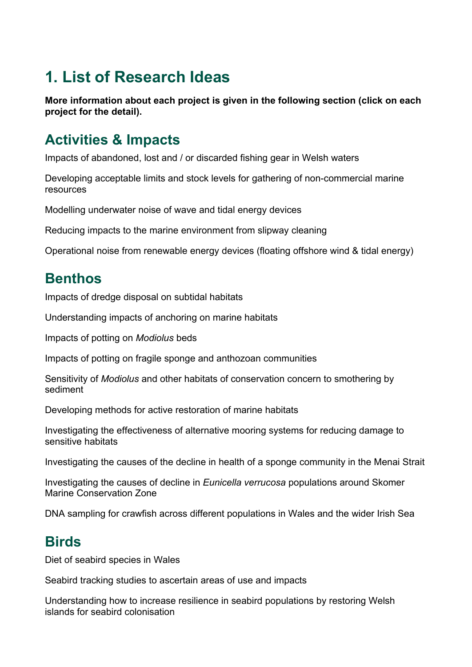# **1. List of Research Ideas**

**More information about each project is given in the following section (click on each project for the detail).**

# **Activities & Impacts**

[Impacts of abandoned, lost and / or discarded fishing gear in Welsh waters](#page-6-0)

[Developing acceptable limits and stock levels for gathering of non-commercial marine](#page-6-1)  [resources](#page-6-1)

[Modelling underwater noise of wave and tidal](#page-6-2) energy devices

[Reducing impacts to the marine environment from slipway cleaning](#page-6-3)

[Operational noise from renewable energy devices \(floating offshore wind & tidal energy\)](#page-7-0)

# **Benthos**

[Impacts of dredge disposal on subtidal habitats](#page-7-1)

[Understanding impacts of anchoring on marine habitats](#page-7-2)

[Impacts of potting on](#page-7-3) *Modiolus* beds

[Impacts of potting on fragile sponge and anthozoan communities](#page-8-0)

Sensitivity of *Modiolus* and other habitats [of conservation concern](#page-8-1) to smothering by [sediment](#page-8-1)

[Developing methods for active restoration of marine habitats](#page-8-2)

[Investigating the effectiveness of alternative mooring systems for reducing damage to](#page-8-3)  [sensitive habitats](#page-8-3)

[Investigating the causes of the decline in health](#page-9-0) of a sponge community in the Menai Strait

[Investigating the causes of decline in](#page-9-1) *Eunicella verrucosa* populations around Skomer [Marine Conservation Zo](#page-9-1)ne

[DNA sampling for crawfish across different populations in Wales and the wider Irish Sea](#page-9-2)

# **Birds**

[Diet of seabird species in Wales](#page-9-3)

[Seabird tracking studies to ascertain areas of use and impacts](#page-10-0)

[Understanding how to increase resilience in seabird populations by restoring Welsh](#page-10-1)  [islands for seabird colonisation](#page-10-1)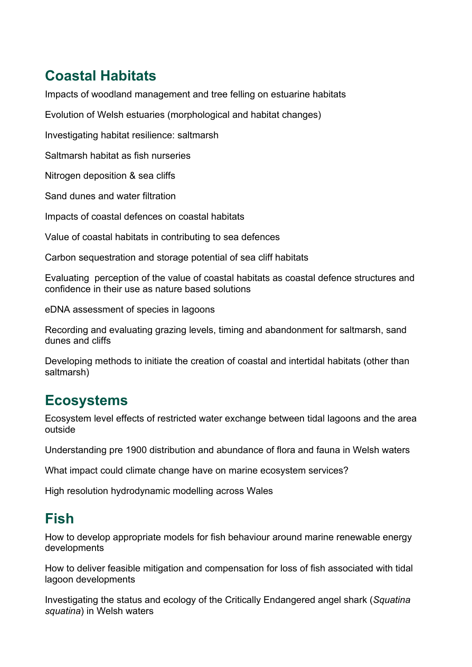# **Coastal Habitats**

[Impacts of woodland management and tree felling on estuarine habitats](#page-10-2)

[Evolution of Welsh estuaries \(morphological and habitat changes\)](#page-10-3)

[Investigating habitat resilience: saltmarsh](#page-11-0)

[Saltmarsh habitat as fish nurseries](#page-11-1)

[Nitrogen deposition & sea cliffs](#page-11-2)

[Sand dunes and water filtration](#page-11-3)

[Impacts of coastal defences on coastal habitats](#page-12-0)

[Value of coastal habitats in contributing to sea defences](#page-12-1)

[Carbon sequestration and storage potential of sea cliff habitats](#page-12-2)

[Evaluating perception of the value of coastal habitats as coastal defence structures and](#page-12-3)  [confidence in their use as nature based solutions](#page-12-3)

[eDNA assessment of species in lagoons](#page-12-4)

[Recording and evaluating grazing levels, timing and abandonment for saltmarsh, sand](#page-13-0)  [dunes and cliffs](#page-13-0)

[Developing methods to initiate the creation of coastal and intertidal habitats \(other than](#page-13-1)  [saltmarsh\)](#page-13-1)

# **Ecosystems**

[Ecosystem level effects of restricted water exchange between tidal lagoons and the area](#page-13-2)  [outside](#page-13-2)

[Understanding pre 1900 distribution and abundance of flora and fauna in Welsh waters](#page-13-3)

[What impact could climate change have on marine ecosystem services?](#page-13-4)

[High resolution hydrodynamic modelling across Wales](#page-14-0) 

# **Fish**

[How to develop appropriate models for fish behaviour around marine renewable energy](#page-14-1)  [developments](#page-14-1)

[How to deliver feasible mitigation and compensation for loss of fish associated with tidal](#page-14-2)  [lagoon developments](#page-14-2)

[Investigating the status and ecology of the Critically Endangered angel shark](#page-15-0) (*Squatina squatina*[\) in Welsh waters](#page-15-0)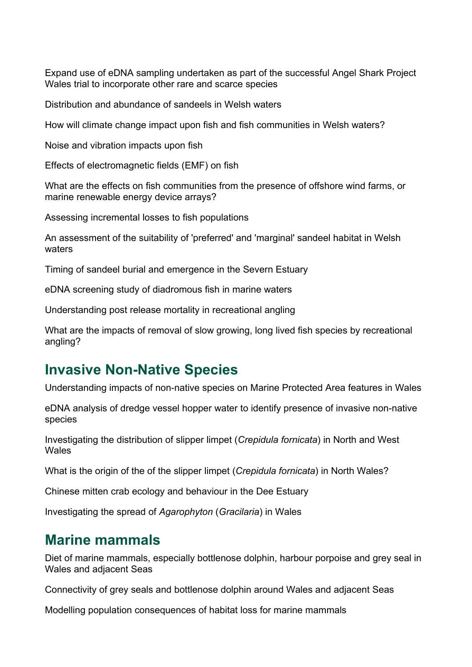[Expand use of eDNA sampling undertaken as part of the successful Angel Shark](#page-15-1) Project [Wales trial to incorporate other rare and scarce species](#page-15-1)

[Distribution and abundance of sandeels in Welsh waters](#page-15-2)

[How will climate change impact upon fish and fish communities in Welsh waters?](#page-16-0)

[Noise and vibration impacts upon fish](#page-16-1)

[Effects of electromagnetic fields \(EMF\)](#page-16-2) on fish

[What are the effects on fish communities from the presence of offshore wind farms, or](#page-16-3)  [marine renewable energy device arrays?](#page-16-3)

[Assessing incremental losses to fish populations](#page-16-4)

[An assessment of the suitability of 'preferred' and 'marginal' sandeel habitat in Welsh](#page-17-0)  [waters](#page-17-0)

[Timing of sandeel burial and emergence in the Severn Estuary](#page-17-1)

[eDNA screening study of diadromous fish in marine waters](#page-17-2)

[Understanding post release mortality in recreational angling](#page-17-3)

[What are the impacts of removal of slow growing, long lived fish species by recreational](#page-18-0)  [angling?](#page-18-0)

# **Invasive Non-Native Species**

[Understanding impacts of non-native](#page-18-1) species on Marine Protected Area features in Wales

[eDNA analysis of dredge vessel hopper water to identify presence of invasive non-native](#page-18-2)  species

[Investigating the distribution of slipper limpet](#page-18-3) (*Crepidula fornicata*) in North and West [Wales](#page-18-3)

[What is the origin of the of the slipper limpet \(](#page-19-0)*Crepidula fornicata*) in North Wales?

[Chinese mitten crab ecology and behaviour in the Dee Estuary](#page-19-1)

[Investigating the spread of](#page-19-2) *Agarophyton* (*Gracilaria*) in Wales

#### **Marine mammals**

[Diet of marine mammals, especially bottlenose dolphin, harbour porpoise and grey seal in](#page-20-0)  [Wales and adjacent Seas](#page-20-0)

[Connectivity of grey seals and bottlenose dolphin around Wales and adjacent Seas](#page-20-1)

[Modelling population consequences of habitat loss for marine mammals](#page-20-2)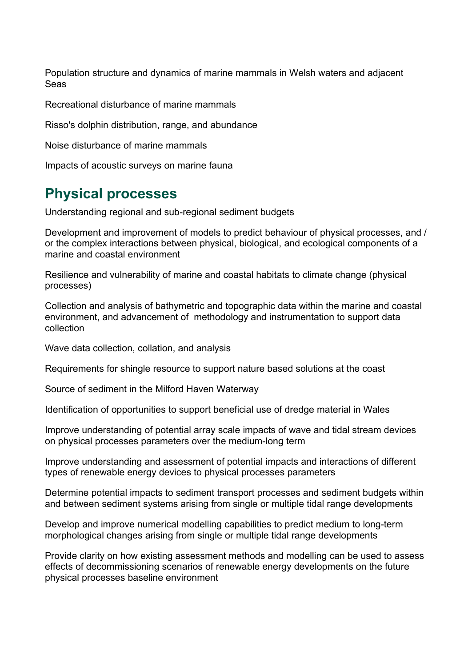[Population structure and dynamics of marine mammals in Welsh waters and adjacent](#page-20-3)  [Seas](#page-20-3)

[Recreational disturbance of marine mammals](#page-21-0)

[Risso's dolphin distribution, range,](#page-21-1) and abundance

[Noise disturbance of marine mammals](#page-21-2)

[Impacts of acoustic surveys on marine fauna](#page-21-3)

# **Physical processes**

[Understanding regional and sub-regional sediment budgets](#page-22-0)

[Development and improvement of models to predict behaviour of physical processes, and](#page-22-1) / [or the complex interactions between physical, biological,](#page-22-1) and ecological components of a [marine and coastal environment](#page-22-1)

[Resilience and vulnerability of marine and coastal habitats to climate change \(physical](#page-22-2)  [processes\)](#page-22-2)

[Collection and analysis of bathymetric and topographic data within the marine and coastal](#page-23-0)  [environment, and advancement of methodology and instrumentation to support data](#page-23-0)  [collection](#page-23-0)

[Wave data collection, collation,](#page-23-1) and analysis

[Requirements for shingle resource to support nature based solutions at the coast](#page-23-2)

[Source of sediment in the Milford Haven Waterway](#page-23-3)

[Identification of opportunities to support beneficial use of dredge material in Wales](#page-24-0)

[Improve understanding of potential array scale impacts of wave and tidal stream devices](#page-24-1)  [on physical processes parameters over the medium-long term](#page-24-1)

[Improve understanding and assessment of potential impacts and interactions of different](#page-24-2)  [types of renewable energy devices to physical processes parameters](#page-24-2)

[Determine potential impacts to sediment transport processes and sediment budgets within](#page-25-0)  [and between sediment systems arising from single or multiple tidal range developments](#page-25-0)

[Develop and improve numerical modelling capabilities to predict medium to long-term](#page-25-1)  [morphological changes arising from single or multiple tidal range developments](#page-25-1)

[Provide clarity on how existing assessment methods and modelling can be used to assess](#page-25-2)  [effects of decommissioning scenarios of renewable energy developments on the future](#page-25-2)  [physical processes baseline environment](#page-25-2)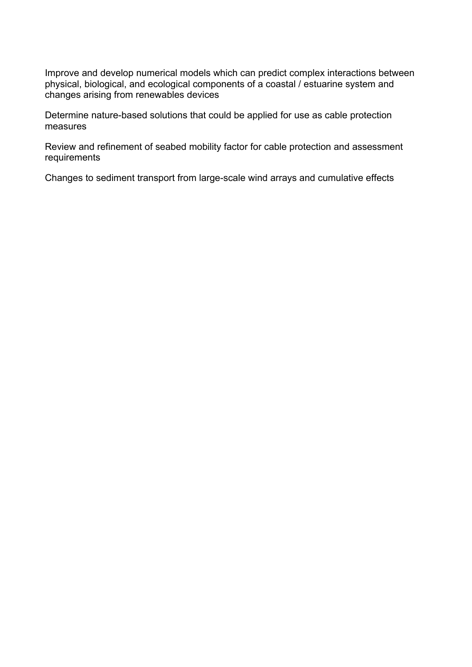[Improve and develop numerical models which can predict complex interactions between](#page-26-0)  physical, biological, [and ecological components of a coastal](#page-26-0) / estuarine system and [changes arising from renewables devices](#page-26-0)

[Determine nature-based solutions that could be applied for use as cable protection](#page-26-1)  [measures](#page-26-1)

[Review and refinement of seabed mobility factor for cable protection and assessment](#page-26-2)  [requirements](#page-26-2)

[Changes to sediment transport from large-scale wind arrays and cumulative effects](#page-26-3)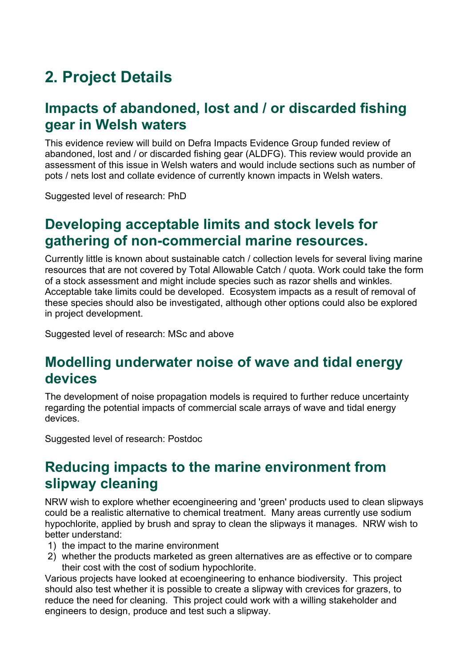# **2. Project Details**

### <span id="page-6-0"></span>**Impacts of abandoned, lost and / or discarded fishing gear in Welsh waters**

This evidence review will build on Defra Impacts Evidence Group funded review of abandoned, lost and / or discarded fishing gear (ALDFG). This review would provide an assessment of this issue in Welsh waters and would include sections such as number of pots / nets lost and collate evidence of currently known impacts in Welsh waters.

Suggested level of research: PhD

# <span id="page-6-1"></span>**Developing acceptable limits and stock levels for gathering of non-commercial marine resources.**

Currently little is known about sustainable catch / collection levels for several living marine resources that are not covered by Total Allowable Catch / quota. Work could take the form of a stock assessment and might include species such as razor shells and winkles. Acceptable take limits could be developed. Ecosystem impacts as a result of removal of these species should also be investigated, although other options could also be explored in project development.

Suggested level of research: MSc and above

#### <span id="page-6-2"></span>**Modelling underwater noise of wave and tidal energy devices**

The development of noise propagation models is required to further reduce uncertainty regarding the potential impacts of commercial scale arrays of wave and tidal energy devices.

Suggested level of research: Postdoc

#### <span id="page-6-3"></span>**Reducing impacts to the marine environment from slipway cleaning**

NRW wish to explore whether ecoengineering and 'green' products used to clean slipways could be a realistic alternative to chemical treatment. Many areas currently use sodium hypochlorite, applied by brush and spray to clean the slipways it manages. NRW wish to better understand:

- 1) the impact to the marine environment
- 2) whether the products marketed as green alternatives are as effective or to compare their cost with the cost of sodium hypochlorite.

Various projects have looked at ecoengineering to enhance biodiversity. This project should also test whether it is possible to create a slipway with crevices for grazers, to reduce the need for cleaning. This project could work with a willing stakeholder and engineers to design, produce and test such a slipway.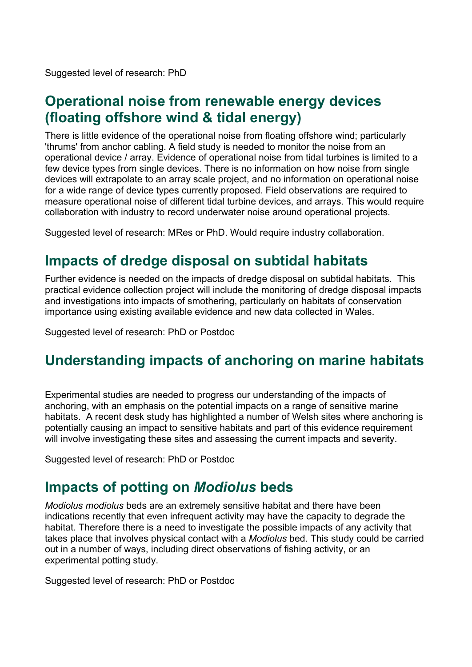Suggested level of research: PhD

# <span id="page-7-0"></span>**Operational noise from renewable energy devices (floating offshore wind & tidal energy)**

There is little evidence of the operational noise from floating offshore wind; particularly 'thrums' from anchor cabling. A field study is needed to monitor the noise from an operational device / array. Evidence of operational noise from tidal turbines is limited to a few device types from single devices. There is no information on how noise from single devices will extrapolate to an array scale project, and no information on operational noise for a wide range of device types currently proposed. Field observations are required to measure operational noise of different tidal turbine devices, and arrays. This would require collaboration with industry to record underwater noise around operational projects.

Suggested level of research: MRes or PhD. Would require industry collaboration.

# <span id="page-7-1"></span>**Impacts of dredge disposal on subtidal habitats**

Further evidence is needed on the impacts of dredge disposal on subtidal habitats. This practical evidence collection project will include the monitoring of dredge disposal impacts and investigations into impacts of smothering, particularly on habitats of conservation importance using existing available evidence and new data collected in Wales.

Suggested level of research: PhD or Postdoc

# <span id="page-7-2"></span>**Understanding impacts of anchoring on marine habitats**

Experimental studies are needed to progress our understanding of the impacts of anchoring, with an emphasis on the potential impacts on a range of sensitive marine habitats. A recent desk study has highlighted a number of Welsh sites where anchoring is potentially causing an impact to sensitive habitats and part of this evidence requirement will involve investigating these sites and assessing the current impacts and severity.

Suggested level of research: PhD or Postdoc

#### <span id="page-7-3"></span>**Impacts of potting on** *Modiolus* **beds**

*Modiolus modiolus* beds are an extremely sensitive habitat and there have been indications recently that even infrequent activity may have the capacity to degrade the habitat. Therefore there is a need to investigate the possible impacts of any activity that takes place that involves physical contact with a *Modiolus* bed. This study could be carried out in a number of ways, including direct observations of fishing activity, or an experimental potting study.

Suggested level of research: PhD or Postdoc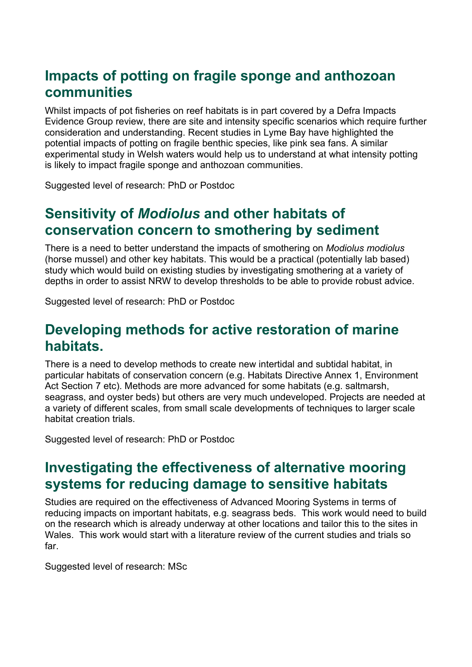#### <span id="page-8-0"></span>**Impacts of potting on fragile sponge and anthozoan communities**

Whilst impacts of pot fisheries on reef habitats is in part covered by a Defra Impacts Evidence Group review, there are site and intensity specific scenarios which require further consideration and understanding. Recent studies in Lyme Bay have highlighted the potential impacts of potting on fragile benthic species, like pink sea fans. A similar experimental study in Welsh waters would help us to understand at what intensity potting is likely to impact fragile sponge and anthozoan communities.

Suggested level of research: PhD or Postdoc

# <span id="page-8-1"></span>**Sensitivity of** *Modiolus* **and other habitats of conservation concern to smothering by sediment**

There is a need to better understand the impacts of smothering on *Modiolus modiolus* (horse mussel) and other key habitats. This would be a practical (potentially lab based) study which would build on existing studies by investigating smothering at a variety of depths in order to assist NRW to develop thresholds to be able to provide robust advice.

Suggested level of research: PhD or Postdoc

#### <span id="page-8-2"></span>**Developing methods for active restoration of marine habitats.**

There is a need to develop methods to create new intertidal and subtidal habitat, in particular habitats of conservation concern (e.g. Habitats Directive Annex 1, Environment Act Section 7 etc). Methods are more advanced for some habitats (e.g. saltmarsh, seagrass, and oyster beds) but others are very much undeveloped. Projects are needed at a variety of different scales, from small scale developments of techniques to larger scale habitat creation trials.

Suggested level of research: PhD or Postdoc

# <span id="page-8-3"></span>**Investigating the effectiveness of alternative mooring systems for reducing damage to sensitive habitats**

Studies are required on the effectiveness of Advanced Mooring Systems in terms of reducing impacts on important habitats, e.g. seagrass beds. This work would need to build on the research which is already underway at other locations and tailor this to the sites in Wales. This work would start with a literature review of the current studies and trials so far.

Suggested level of research: MSc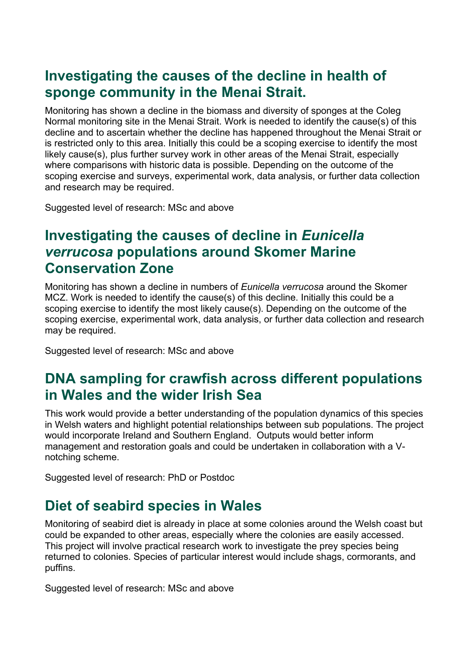# <span id="page-9-0"></span>**Investigating the causes of the decline in health of sponge community in the Menai Strait.**

Monitoring has shown a decline in the biomass and diversity of sponges at the Coleg Normal monitoring site in the Menai Strait. Work is needed to identify the cause(s) of this decline and to ascertain whether the decline has happened throughout the Menai Strait or is restricted only to this area. Initially this could be a scoping exercise to identify the most likely cause(s), plus further survey work in other areas of the Menai Strait, especially where comparisons with historic data is possible. Depending on the outcome of the scoping exercise and surveys, experimental work, data analysis, or further data collection and research may be required.

Suggested level of research: MSc and above

#### <span id="page-9-1"></span>**Investigating the causes of decline in** *Eunicella verrucosa* **populations around Skomer Marine Conservation Zone**

Monitoring has shown a decline in numbers of *Eunicella verrucosa* around the Skomer MCZ. Work is needed to identify the cause(s) of this decline. Initially this could be a scoping exercise to identify the most likely cause(s). Depending on the outcome of the scoping exercise, experimental work, data analysis, or further data collection and research may be required.

Suggested level of research: MSc and above

# <span id="page-9-2"></span>**DNA sampling for crawfish across different populations in Wales and the wider Irish Sea**

This work would provide a better understanding of the population dynamics of this species in Welsh waters and highlight potential relationships between sub populations. The project would incorporate Ireland and Southern England. Outputs would better inform management and restoration goals and could be undertaken in collaboration with a Vnotching scheme.

Suggested level of research: PhD or Postdoc

# <span id="page-9-3"></span>**Diet of seabird species in Wales**

Monitoring of seabird diet is already in place at some colonies around the Welsh coast but could be expanded to other areas, especially where the colonies are easily accessed. This project will involve practical research work to investigate the prey species being returned to colonies. Species of particular interest would include shags, cormorants, and puffins.

Suggested level of research: MSc and above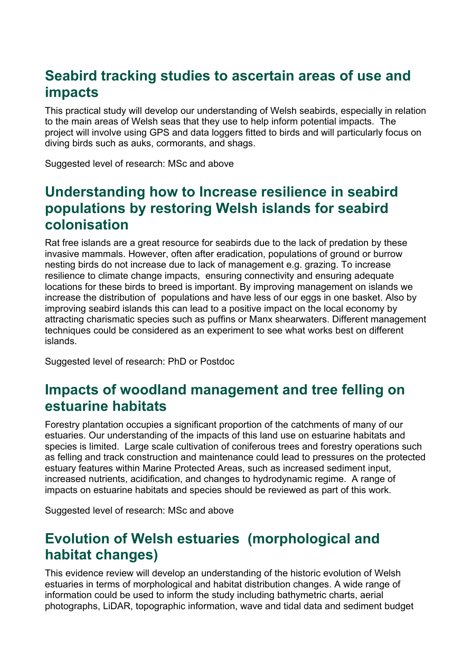# <span id="page-10-0"></span>**Seabird tracking studies to ascertain areas of use and impacts**

This practical study will develop our understanding of Welsh seabirds, especially in relation to the main areas of Welsh seas that they use to help inform potential impacts. The project will involve using GPS and data loggers fitted to birds and will particularly focus on diving birds such as auks, cormorants, and shags.

Suggested level of research: MSc and above

#### <span id="page-10-1"></span>**Understanding how to Increase resilience in seabird populations by restoring Welsh islands for seabird colonisation**

Rat free islands are a great resource for seabirds due to the lack of predation by these invasive mammals. However, often after eradication, populations of ground or burrow nesting birds do not increase due to lack of management e.g. grazing. To increase resilience to climate change impacts, ensuring connectivity and ensuring adequate locations for these birds to breed is important. By improving management on islands we increase the distribution of populations and have less of our eggs in one basket. Also by improving seabird islands this can lead to a positive impact on the local economy by attracting charismatic species such as puffins or Manx shearwaters. Different management techniques could be considered as an experiment to see what works best on different islands.

Suggested level of research: PhD or Postdoc

# <span id="page-10-2"></span>**Impacts of woodland management and tree felling on estuarine habitats**

Forestry plantation occupies a significant proportion of the catchments of many of our estuaries. Our understanding of the impacts of this land use on estuarine habitats and species is limited. Large scale cultivation of coniferous trees and forestry operations such as felling and track construction and maintenance could lead to pressures on the protected estuary features within Marine Protected Areas, such as increased sediment input, increased nutrients, acidification, and changes to hydrodynamic regime. A range of impacts on estuarine habitats and species should be reviewed as part of this work.

Suggested level of research: MSc and above

# <span id="page-10-3"></span>**Evolution of Welsh estuaries (morphological and habitat changes)**

This evidence review will develop an understanding of the historic evolution of Welsh estuaries in terms of morphological and habitat distribution changes. A wide range of information could be used to inform the study including bathymetric charts, aerial photographs, LiDAR, topographic information, wave and tidal data and sediment budget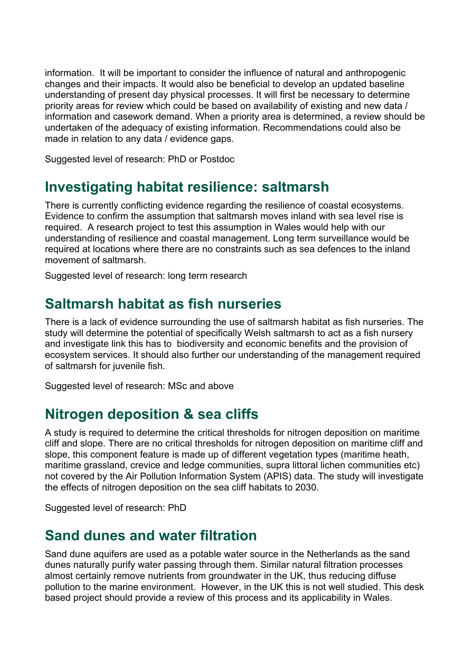information. It will be important to consider the influence of natural and anthropogenic changes and their impacts. It would also be beneficial to develop an updated baseline understanding of present day physical processes. It will first be necessary to determine priority areas for review which could be based on availability of existing and new data / information and casework demand. When a priority area is determined, a review should be undertaken of the adequacy of existing information. Recommendations could also be made in relation to any data / evidence gaps.

Suggested level of research: PhD or Postdoc

#### <span id="page-11-0"></span>**Investigating habitat resilience: saltmarsh**

There is currently conflicting evidence regarding the resilience of coastal ecosystems. Evidence to confirm the assumption that saltmarsh moves inland with sea level rise is required. A research project to test this assumption in Wales would help with our understanding of resilience and coastal management. Long term surveillance would be required at locations where there are no constraints such as sea defences to the inland movement of saltmarsh.

Suggested level of research: long term research

#### <span id="page-11-1"></span>**Saltmarsh habitat as fish nurseries**

There is a lack of evidence surrounding the use of saltmarsh habitat as fish nurseries. The study will determine the potential of specifically Welsh saltmarsh to act as a fish nursery and investigate link this has to biodiversity and economic benefits and the provision of ecosystem services. It should also further our understanding of the management required of saltmarsh for juvenile fish.

Suggested level of research: MSc and above

#### <span id="page-11-2"></span>**Nitrogen deposition & sea cliffs**

A study is required to determine the critical thresholds for nitrogen deposition on maritime cliff and slope. There are no critical thresholds for nitrogen deposition on maritime cliff and slope, this component feature is made up of different vegetation types (maritime heath, maritime grassland, crevice and ledge communities, supra littoral lichen communities etc) not covered by the Air Pollution Information System (APIS) data. The study will investigate the effects of nitrogen deposition on the sea cliff habitats to 2030.

Suggested level of research: PhD

#### <span id="page-11-3"></span>**Sand dunes and water filtration**

Sand dune aquifers are used as a potable water source in the Netherlands as the sand dunes naturally purify water passing through them. Similar natural filtration processes almost certainly remove nutrients from groundwater in the UK, thus reducing diffuse pollution to the marine environment. However, in the UK this is not well studied. This desk based project should provide a review of this process and its applicability in Wales.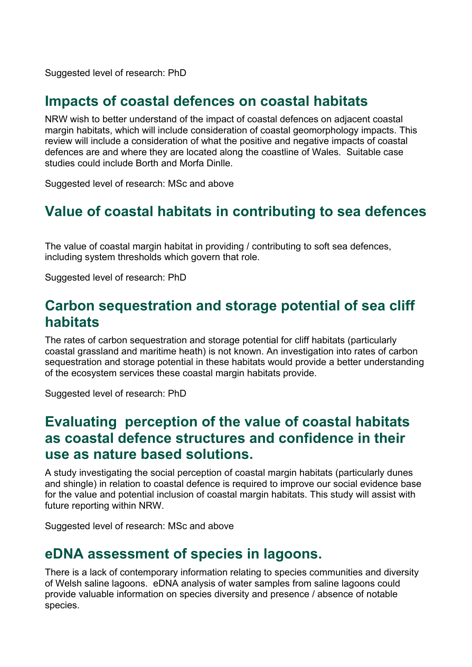Suggested level of research: PhD

#### <span id="page-12-0"></span>**Impacts of coastal defences on coastal habitats**

NRW wish to better understand of the impact of coastal defences on adjacent coastal margin habitats, which will include consideration of coastal geomorphology impacts. This review will include a consideration of what the positive and negative impacts of coastal defences are and where they are located along the coastline of Wales. Suitable case studies could include Borth and Morfa Dinlle.

Suggested level of research: MSc and above

# <span id="page-12-1"></span>**Value of coastal habitats in contributing to sea defences**

The value of coastal margin habitat in providing / contributing to soft sea defences, including system thresholds which govern that role.

Suggested level of research: PhD

#### <span id="page-12-2"></span>**Carbon sequestration and storage potential of sea cliff habitats**

The rates of carbon sequestration and storage potential for cliff habitats (particularly coastal grassland and maritime heath) is not known. An investigation into rates of carbon sequestration and storage potential in these habitats would provide a better understanding of the ecosystem services these coastal margin habitats provide.

Suggested level of research: PhD

#### <span id="page-12-3"></span>**Evaluating perception of the value of coastal habitats as coastal defence structures and confidence in their use as nature based solutions.**

A study investigating the social perception of coastal margin habitats (particularly dunes and shingle) in relation to coastal defence is required to improve our social evidence base for the value and potential inclusion of coastal margin habitats. This study will assist with future reporting within NRW.

Suggested level of research: MSc and above

#### <span id="page-12-4"></span>**eDNA assessment of species in lagoons.**

There is a lack of contemporary information relating to species communities and diversity of Welsh saline lagoons. eDNA analysis of water samples from saline lagoons could provide valuable information on species diversity and presence / absence of notable species.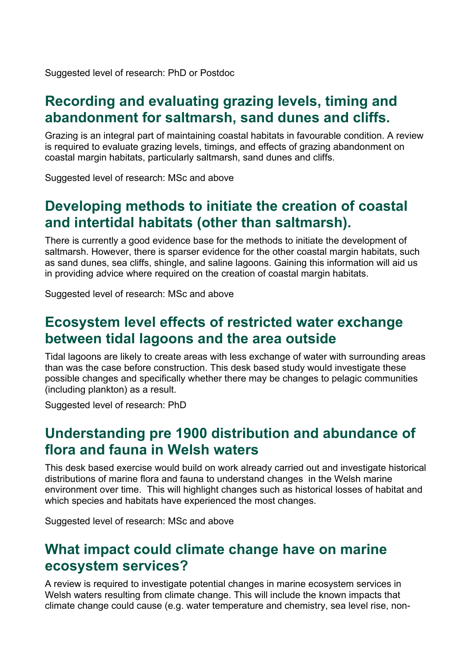Suggested level of research: PhD or Postdoc

#### <span id="page-13-0"></span>**Recording and evaluating grazing levels, timing and abandonment for saltmarsh, sand dunes and cliffs.**

Grazing is an integral part of maintaining coastal habitats in favourable condition. A review is required to evaluate grazing levels, timings, and effects of grazing abandonment on coastal margin habitats, particularly saltmarsh, sand dunes and cliffs.

Suggested level of research: MSc and above

# <span id="page-13-1"></span>**Developing methods to initiate the creation of coastal and intertidal habitats (other than saltmarsh).**

There is currently a good evidence base for the methods to initiate the development of saltmarsh. However, there is sparser evidence for the other coastal margin habitats, such as sand dunes, sea cliffs, shingle, and saline lagoons. Gaining this information will aid us in providing advice where required on the creation of coastal margin habitats.

Suggested level of research: MSc and above

#### <span id="page-13-2"></span>**Ecosystem level effects of restricted water exchange between tidal lagoons and the area outside**

Tidal lagoons are likely to create areas with less exchange of water with surrounding areas than was the case before construction. This desk based study would investigate these possible changes and specifically whether there may be changes to pelagic communities (including plankton) as a result.

Suggested level of research: PhD

#### <span id="page-13-3"></span>**Understanding pre 1900 distribution and abundance of flora and fauna in Welsh waters**

This desk based exercise would build on work already carried out and investigate historical distributions of marine flora and fauna to understand changes in the Welsh marine environment over time. This will highlight changes such as historical losses of habitat and which species and habitats have experienced the most changes.

Suggested level of research: MSc and above

#### <span id="page-13-4"></span>**What impact could climate change have on marine ecosystem services?**

A review is required to investigate potential changes in marine ecosystem services in Welsh waters resulting from climate change. This will include the known impacts that climate change could cause (e.g. water temperature and chemistry, sea level rise, non-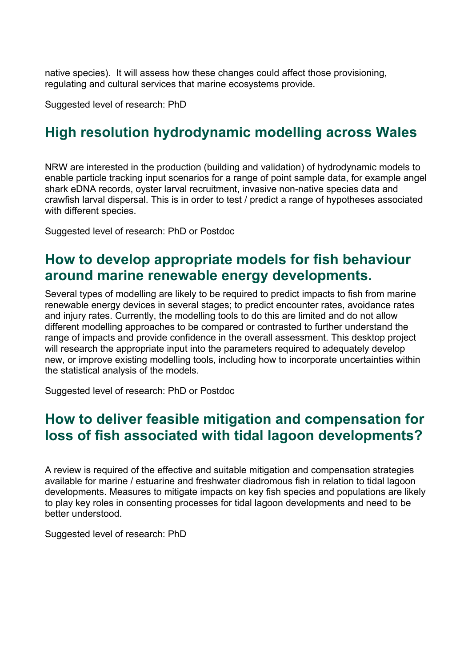native species). It will assess how these changes could affect those provisioning, regulating and cultural services that marine ecosystems provide.

Suggested level of research: PhD

# <span id="page-14-0"></span>**High resolution hydrodynamic modelling across Wales**

NRW are interested in the production (building and validation) of hydrodynamic models to enable particle tracking input scenarios for a range of point sample data, for example angel shark eDNA records, oyster larval recruitment, invasive non-native species data and crawfish larval dispersal. This is in order to test / predict a range of hypotheses associated with different species.

Suggested level of research: PhD or Postdoc

#### <span id="page-14-1"></span>**How to develop appropriate models for fish behaviour around marine renewable energy developments.**

Several types of modelling are likely to be required to predict impacts to fish from marine renewable energy devices in several stages; to predict encounter rates, avoidance rates and injury rates. Currently, the modelling tools to do this are limited and do not allow different modelling approaches to be compared or contrasted to further understand the range of impacts and provide confidence in the overall assessment. This desktop project will research the appropriate input into the parameters required to adequately develop new, or improve existing modelling tools, including how to incorporate uncertainties within the statistical analysis of the models.

Suggested level of research: PhD or Postdoc

#### <span id="page-14-2"></span>**How to deliver feasible mitigation and compensation for loss of fish associated with tidal lagoon developments?**

A review is required of the effective and suitable mitigation and compensation strategies available for marine / estuarine and freshwater diadromous fish in relation to tidal lagoon developments. Measures to mitigate impacts on key fish species and populations are likely to play key roles in consenting processes for tidal lagoon developments and need to be better understood.

Suggested level of research: PhD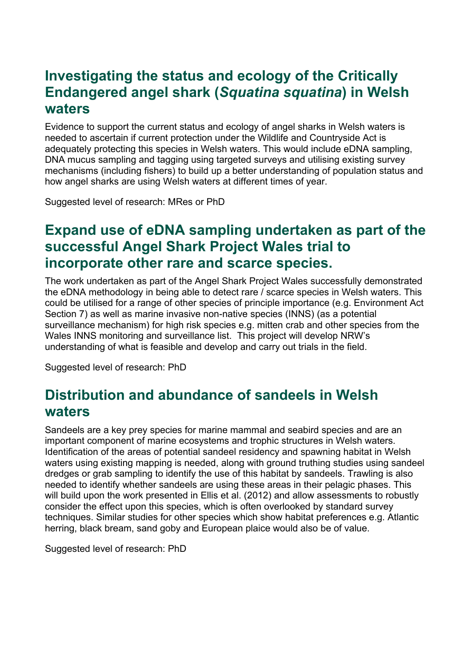# <span id="page-15-0"></span>**Investigating the status and ecology of the Critically Endangered angel shark (***Squatina squatina***) in Welsh waters**

Evidence to support the current status and ecology of angel sharks in Welsh waters is needed to ascertain if current protection under the Wildlife and Countryside Act is adequately protecting this species in Welsh waters. This would include eDNA sampling, DNA mucus sampling and tagging using targeted surveys and utilising existing survey mechanisms (including fishers) to build up a better understanding of population status and how angel sharks are using Welsh waters at different times of year.

Suggested level of research: MRes or PhD

# <span id="page-15-1"></span>**Expand use of eDNA sampling undertaken as part of the successful Angel Shark Project Wales trial to incorporate other rare and scarce species.**

The work undertaken as part of the Angel Shark Project Wales successfully demonstrated the eDNA methodology in being able to detect rare / scarce species in Welsh waters. This could be utilised for a range of other species of principle importance (e.g. Environment Act Section 7) as well as marine invasive non-native species (INNS) (as a potential surveillance mechanism) for high risk species e.g. mitten crab and other species from the Wales INNS monitoring and surveillance list. This project will develop NRW's understanding of what is feasible and develop and carry out trials in the field.

Suggested level of research: PhD

#### <span id="page-15-2"></span>**Distribution and abundance of sandeels in Welsh waters**

Sandeels are a key prey species for marine mammal and seabird species and are an important component of marine ecosystems and trophic structures in Welsh waters. Identification of the areas of potential sandeel residency and spawning habitat in Welsh waters using existing mapping is needed, along with ground truthing studies using sandeel dredges or grab sampling to identify the use of this habitat by sandeels. Trawling is also needed to identify whether sandeels are using these areas in their pelagic phases. This will build upon the work presented in Ellis et al. (2012) and allow assessments to robustly consider the effect upon this species, which is often overlooked by standard survey techniques. Similar studies for other species which show habitat preferences e.g. Atlantic herring, black bream, sand goby and European plaice would also be of value.

Suggested level of research: PhD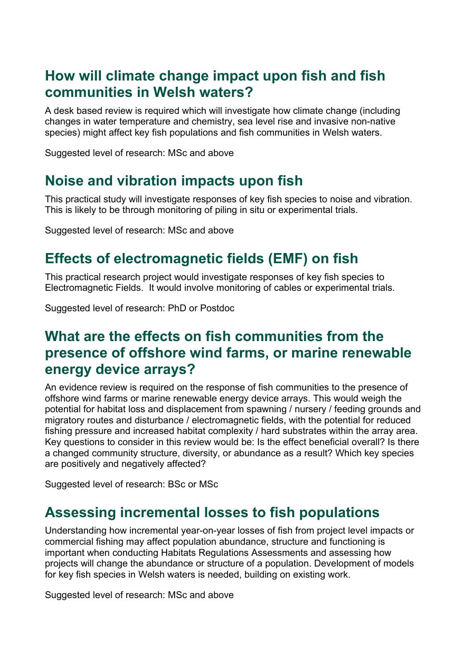#### <span id="page-16-0"></span>**How will climate change impact upon fish and fish communities in Welsh waters?**

A desk based review is required which will investigate how climate change (including changes in water temperature and chemistry, sea level rise and invasive non-native species) might affect key fish populations and fish communities in Welsh waters.

Suggested level of research: MSc and above

# <span id="page-16-1"></span>**Noise and vibration impacts upon fish**

This practical study will investigate responses of key fish species to noise and vibration. This is likely to be through monitoring of piling in situ or experimental trials.

Suggested level of research: MSc and above

# <span id="page-16-2"></span>**Effects of electromagnetic fields (EMF) on fish**

This practical research project would investigate responses of key fish species to Electromagnetic Fields. It would involve monitoring of cables or experimental trials.

Suggested level of research: PhD or Postdoc

#### <span id="page-16-3"></span>**What are the effects on fish communities from the presence of offshore wind farms, or marine renewable energy device arrays?**

An evidence review is required on the response of fish communities to the presence of offshore wind farms or marine renewable energy device arrays. This would weigh the potential for habitat loss and displacement from spawning / nursery / feeding grounds and migratory routes and disturbance / electromagnetic fields, with the potential for reduced fishing pressure and increased habitat complexity / hard substrates within the array area. Key questions to consider in this review would be: Is the effect beneficial overall? Is there a changed community structure, diversity, or abundance as a result? Which key species are positively and negatively affected?

Suggested level of research: BSc or MSc

#### <span id="page-16-4"></span>**Assessing incremental losses to fish populations**

Understanding how incremental year-on-year losses of fish from project level impacts or commercial fishing may affect population abundance, structure and functioning is important when conducting Habitats Regulations Assessments and assessing how projects will change the abundance or structure of a population. Development of models for key fish species in Welsh waters is needed, building on existing work.

Suggested level of research: MSc and above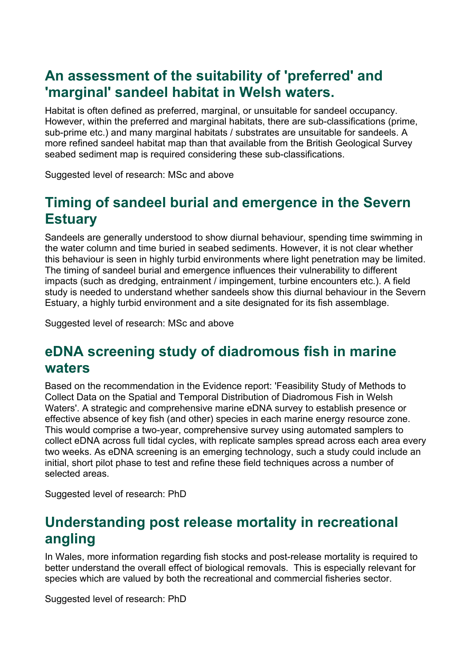### <span id="page-17-0"></span>**An assessment of the suitability of 'preferred' and 'marginal' sandeel habitat in Welsh waters.**

Habitat is often defined as preferred, marginal, or unsuitable for sandeel occupancy. However, within the preferred and marginal habitats, there are sub-classifications (prime, sub-prime etc.) and many marginal habitats / substrates are unsuitable for sandeels. A more refined sandeel habitat map than that available from the British Geological Survey seabed sediment map is required considering these sub-classifications.

Suggested level of research: MSc and above

# <span id="page-17-1"></span>**Timing of sandeel burial and emergence in the Severn Estuary**

Sandeels are generally understood to show diurnal behaviour, spending time swimming in the water column and time buried in seabed sediments. However, it is not clear whether this behaviour is seen in highly turbid environments where light penetration may be limited. The timing of sandeel burial and emergence influences their vulnerability to different impacts (such as dredging, entrainment / impingement, turbine encounters etc.). A field study is needed to understand whether sandeels show this diurnal behaviour in the Severn Estuary, a highly turbid environment and a site designated for its fish assemblage.

Suggested level of research: MSc and above

# <span id="page-17-2"></span>**eDNA screening study of diadromous fish in marine waters**

Based on the recommendation in the Evidence report: 'Feasibility Study of Methods to Collect Data on the Spatial and Temporal Distribution of Diadromous Fish in Welsh Waters'. A strategic and comprehensive marine eDNA survey to establish presence or effective absence of key fish (and other) species in each marine energy resource zone. This would comprise a two-year, comprehensive survey using automated samplers to collect eDNA across full tidal cycles, with replicate samples spread across each area every two weeks. As eDNA screening is an emerging technology, such a study could include an initial, short pilot phase to test and refine these field techniques across a number of selected areas.

Suggested level of research: PhD

# <span id="page-17-3"></span>**Understanding post release mortality in recreational angling**

In Wales, more information regarding fish stocks and post-release mortality is required to better understand the overall effect of biological removals. This is especially relevant for species which are valued by both the recreational and commercial fisheries sector.

Suggested level of research: PhD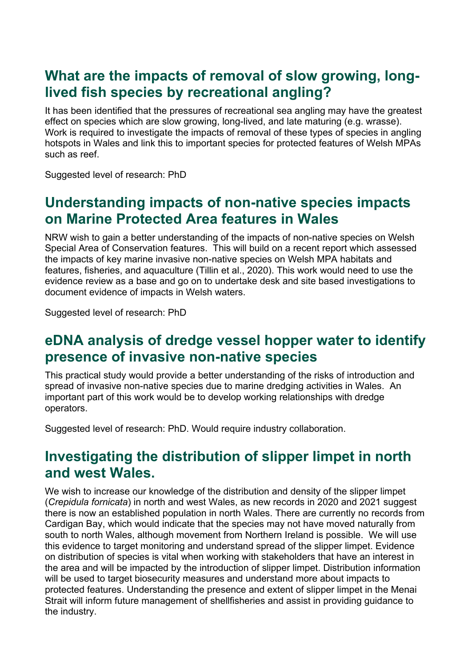### <span id="page-18-0"></span>**What are the impacts of removal of slow growing, longlived fish species by recreational angling?**

It has been identified that the pressures of recreational sea angling may have the greatest effect on species which are slow growing, long-lived, and late maturing (e.g. wrasse). Work is required to investigate the impacts of removal of these types of species in angling hotspots in Wales and link this to important species for protected features of Welsh MPAs such as reef.

Suggested level of research: PhD

#### <span id="page-18-1"></span>**Understanding impacts of non-native species impacts on Marine Protected Area features in Wales**

NRW wish to gain a better understanding of the impacts of non-native species on Welsh Special Area of Conservation features. This will build on a recent report which assessed the impacts of key marine invasive non-native species on Welsh MPA habitats and features, fisheries, and aquaculture (Tillin et al., 2020). This work would need to use the evidence review as a base and go on to undertake desk and site based investigations to document evidence of impacts in Welsh waters.

Suggested level of research: PhD

#### <span id="page-18-2"></span>**eDNA analysis of dredge vessel hopper water to identify presence of invasive non-native species**

This practical study would provide a better understanding of the risks of introduction and spread of invasive non-native species due to marine dredging activities in Wales. An important part of this work would be to develop working relationships with dredge operators.

Suggested level of research: PhD. Would require industry collaboration.

#### <span id="page-18-3"></span>**Investigating the distribution of slipper limpet in north and west Wales.**

We wish to increase our knowledge of the distribution and density of the slipper limpet (*Crepidula fornicata*) in north and west Wales, as new records in 2020 and 2021 suggest there is now an established population in north Wales. There are currently no records from Cardigan Bay, which would indicate that the species may not have moved naturally from south to north Wales, although movement from Northern Ireland is possible. We will use this evidence to target monitoring and understand spread of the slipper limpet. Evidence on distribution of species is vital when working with stakeholders that have an interest in the area and will be impacted by the introduction of slipper limpet. Distribution information will be used to target biosecurity measures and understand more about impacts to protected features. Understanding the presence and extent of slipper limpet in the Menai Strait will inform future management of shellfisheries and assist in providing guidance to the industry.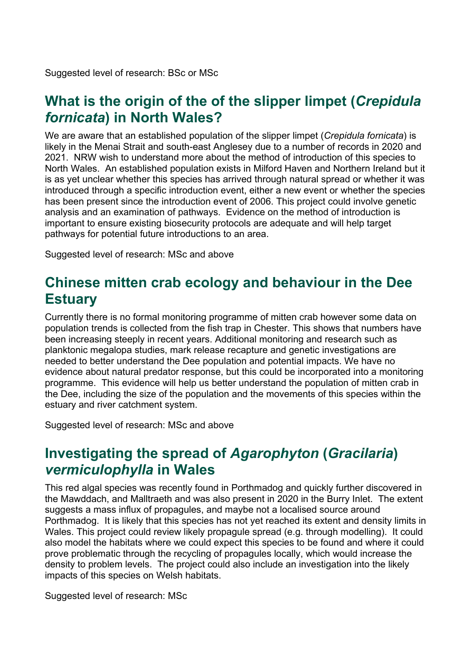Suggested level of research: BSc or MSc

#### <span id="page-19-0"></span>**What is the origin of the of the slipper limpet (***Crepidula fornicata***) in North Wales?**

We are aware that an established population of the slipper limpet (*Crepidula fornicata*) is likely in the Menai Strait and south-east Anglesey due to a number of records in 2020 and 2021. NRW wish to understand more about the method of introduction of this species to North Wales. An established population exists in Milford Haven and Northern Ireland but it is as yet unclear whether this species has arrived through natural spread or whether it was introduced through a specific introduction event, either a new event or whether the species has been present since the introduction event of 2006. This project could involve genetic analysis and an examination of pathways. Evidence on the method of introduction is important to ensure existing biosecurity protocols are adequate and will help target pathways for potential future introductions to an area.

Suggested level of research: MSc and above

#### <span id="page-19-1"></span>**Chinese mitten crab ecology and behaviour in the Dee Estuary**

Currently there is no formal monitoring programme of mitten crab however some data on population trends is collected from the fish trap in Chester. This shows that numbers have been increasing steeply in recent years. Additional monitoring and research such as planktonic megalopa studies, mark release recapture and genetic investigations are needed to better understand the Dee population and potential impacts. We have no evidence about natural predator response, but this could be incorporated into a monitoring programme. This evidence will help us better understand the population of mitten crab in the Dee, including the size of the population and the movements of this species within the estuary and river catchment system.

Suggested level of research: MSc and above

# <span id="page-19-2"></span>**Investigating the spread of** *Agarophyton* **(***Gracilaria***)** *vermiculophylla* **in Wales**

This red algal species was recently found in Porthmadog and quickly further discovered in the Mawddach, and Malltraeth and was also present in 2020 in the Burry Inlet. The extent suggests a mass influx of propagules, and maybe not a localised source around Porthmadog. It is likely that this species has not yet reached its extent and density limits in Wales. This project could review likely propagule spread (e.g. through modelling). It could also model the habitats where we could expect this species to be found and where it could prove problematic through the recycling of propagules locally, which would increase the density to problem levels. The project could also include an investigation into the likely impacts of this species on Welsh habitats.

Suggested level of research: MSc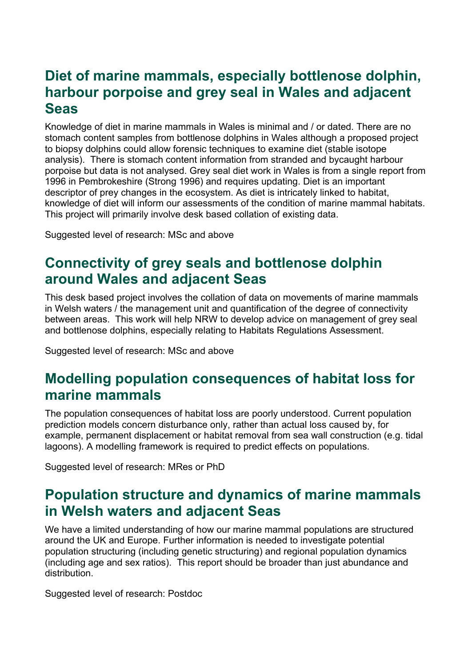# <span id="page-20-0"></span>**Diet of marine mammals, especially bottlenose dolphin, harbour porpoise and grey seal in Wales and adjacent Seas**

Knowledge of diet in marine mammals in Wales is minimal and / or dated. There are no stomach content samples from bottlenose dolphins in Wales although a proposed project to biopsy dolphins could allow forensic techniques to examine diet (stable isotope analysis). There is stomach content information from stranded and bycaught harbour porpoise but data is not analysed. Grey seal diet work in Wales is from a single report from 1996 in Pembrokeshire (Strong 1996) and requires updating. Diet is an important descriptor of prey changes in the ecosystem. As diet is intricately linked to habitat, knowledge of diet will inform our assessments of the condition of marine mammal habitats. This project will primarily involve desk based collation of existing data.

Suggested level of research: MSc and above

# <span id="page-20-1"></span>**Connectivity of grey seals and bottlenose dolphin around Wales and adjacent Seas**

This desk based project involves the collation of data on movements of marine mammals in Welsh waters / the management unit and quantification of the degree of connectivity between areas. This work will help NRW to develop advice on management of grey seal and bottlenose dolphins, especially relating to Habitats Regulations Assessment.

Suggested level of research: MSc and above

# <span id="page-20-2"></span>**Modelling population consequences of habitat loss for marine mammals**

The population consequences of habitat loss are poorly understood. Current population prediction models concern disturbance only, rather than actual loss caused by, for example, permanent displacement or habitat removal from sea wall construction (e.g. tidal lagoons). A modelling framework is required to predict effects on populations.

Suggested level of research: MRes or PhD

# <span id="page-20-3"></span>**Population structure and dynamics of marine mammals in Welsh waters and adjacent Seas**

We have a limited understanding of how our marine mammal populations are structured around the UK and Europe. Further information is needed to investigate potential population structuring (including genetic structuring) and regional population dynamics (including age and sex ratios). This report should be broader than just abundance and distribution.

Suggested level of research: Postdoc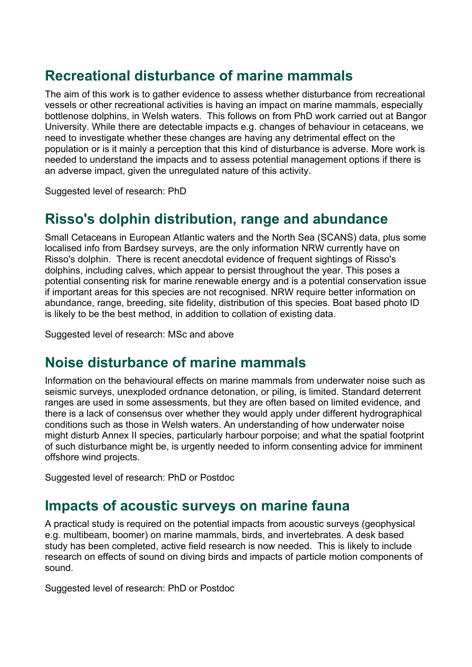### <span id="page-21-0"></span>**Recreational disturbance of marine mammals**

The aim of this work is to gather evidence to assess whether disturbance from recreational vessels or other recreational activities is having an impact on marine mammals, especially bottlenose dolphins, in Welsh waters. This follows on from PhD work carried out at Bangor University. While there are detectable impacts e.g. changes of behaviour in cetaceans, we need to investigate whether these changes are having any detrimental effect on the population or is it mainly a perception that this kind of disturbance is adverse. More work is needed to understand the impacts and to assess potential management options if there is an adverse impact, given the unregulated nature of this activity.

Suggested level of research: PhD

# <span id="page-21-1"></span>**Risso's dolphin distribution, range and abundance**

Small Cetaceans in European Atlantic waters and the North Sea (SCANS) data, plus some localised info from Bardsey surveys, are the only information NRW currently have on Risso's dolphin. There is recent anecdotal evidence of frequent sightings of Risso's dolphins, including calves, which appear to persist throughout the year. This poses a potential consenting risk for marine renewable energy and is a potential conservation issue if important areas for this species are not recognised. NRW require better information on abundance, range, breeding, site fidelity, distribution of this species. Boat based photo ID is likely to be the best method, in addition to collation of existing data.

Suggested level of research: MSc and above

# <span id="page-21-2"></span>**Noise disturbance of marine mammals**

Information on the behavioural effects on marine mammals from underwater noise such as seismic surveys, unexploded ordnance detonation, or piling, is limited. Standard deterrent ranges are used in some assessments, but they are often based on limited evidence, and there is a lack of consensus over whether they would apply under different hydrographical conditions such as those in Welsh waters. An understanding of how underwater noise might disturb Annex II species, particularly harbour porpoise; and what the spatial footprint of such disturbance might be, is urgently needed to inform consenting advice for imminent offshore wind projects.

Suggested level of research: PhD or Postdoc

#### <span id="page-21-3"></span>**Impacts of acoustic surveys on marine fauna**

A practical study is required on the potential impacts from acoustic surveys (geophysical e.g. multibeam, boomer) on marine mammals, birds, and invertebrates. A desk based study has been completed, active field research is now needed. This is likely to include research on effects of sound on diving birds and impacts of particle motion components of sound.

Suggested level of research: PhD or Postdoc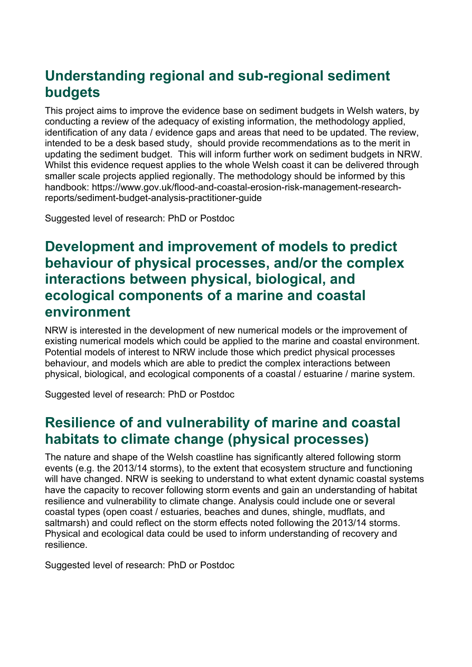# <span id="page-22-0"></span>**Understanding regional and sub-regional sediment budgets**

This project aims to improve the evidence base on sediment budgets in Welsh waters, by conducting a review of the adequacy of existing information, the methodology applied, identification of any data / evidence gaps and areas that need to be updated. The review, intended to be a desk based study, should provide recommendations as to the merit in updating the sediment budget. This will inform further work on sediment budgets in NRW. Whilst this evidence request applies to the whole Welsh coast it can be delivered through smaller scale projects applied regionally. The methodology should be informed by this handbook: https://www.gov.uk/flood-and-coastal-erosion-risk-management-researchreports/sediment-budget-analysis-practitioner-guide

Suggested level of research: PhD or Postdoc

# <span id="page-22-1"></span>**Development and improvement of models to predict behaviour of physical processes, and/or the complex interactions between physical, biological, and ecological components of a marine and coastal environment**

NRW is interested in the development of new numerical models or the improvement of existing numerical models which could be applied to the marine and coastal environment. Potential models of interest to NRW include those which predict physical processes behaviour, and models which are able to predict the complex interactions between physical, biological, and ecological components of a coastal / estuarine / marine system.

Suggested level of research: PhD or Postdoc

#### <span id="page-22-2"></span>**Resilience of and vulnerability of marine and coastal habitats to climate change (physical processes)**

The nature and shape of the Welsh coastline has significantly altered following storm events (e.g. the 2013/14 storms), to the extent that ecosystem structure and functioning will have changed. NRW is seeking to understand to what extent dynamic coastal systems have the capacity to recover following storm events and gain an understanding of habitat resilience and vulnerability to climate change. Analysis could include one or several coastal types (open coast / estuaries, beaches and dunes, shingle, mudflats, and saltmarsh) and could reflect on the storm effects noted following the 2013/14 storms. Physical and ecological data could be used to inform understanding of recovery and resilience.

Suggested level of research: PhD or Postdoc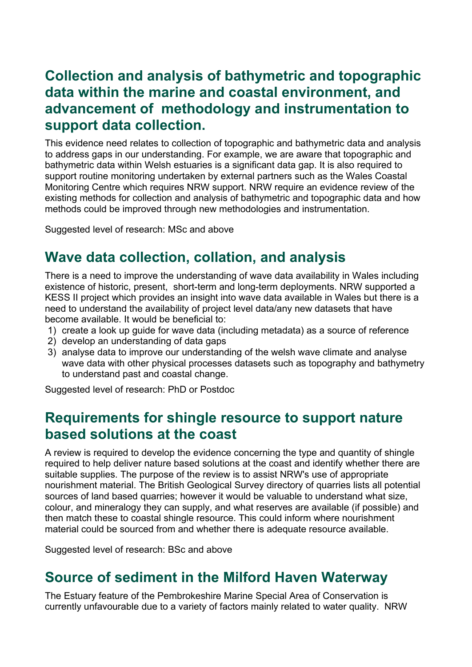# <span id="page-23-0"></span>**Collection and analysis of bathymetric and topographic data within the marine and coastal environment, and advancement of methodology and instrumentation to support data collection.**

This evidence need relates to collection of topographic and bathymetric data and analysis to address gaps in our understanding. For example, we are aware that topographic and bathymetric data within Welsh estuaries is a significant data gap. It is also required to support routine monitoring undertaken by external partners such as the Wales Coastal Monitoring Centre which requires NRW support. NRW require an evidence review of the existing methods for collection and analysis of bathymetric and topographic data and how methods could be improved through new methodologies and instrumentation.

Suggested level of research: MSc and above

# <span id="page-23-1"></span>**Wave data collection, collation, and analysis**

There is a need to improve the understanding of wave data availability in Wales including existence of historic, present, short-term and long-term deployments. NRW supported a KESS II project which provides an insight into wave data available in Wales but there is a need to understand the availability of project level data/any new datasets that have become available. It would be beneficial to:

- 1) create a look up guide for wave data (including metadata) as a source of reference
- 2) develop an understanding of data gaps
- 3) analyse data to improve our understanding of the welsh wave climate and analyse wave data with other physical processes datasets such as topography and bathymetry to understand past and coastal change.

Suggested level of research: PhD or Postdoc

#### <span id="page-23-2"></span>**Requirements for shingle resource to support nature based solutions at the coast**

A review is required to develop the evidence concerning the type and quantity of shingle required to help deliver nature based solutions at the coast and identify whether there are suitable supplies. The purpose of the review is to assist NRW's use of appropriate nourishment material. The British Geological Survey directory of quarries lists all potential sources of land based quarries; however it would be valuable to understand what size, colour, and mineralogy they can supply, and what reserves are available (if possible) and then match these to coastal shingle resource. This could inform where nourishment material could be sourced from and whether there is adequate resource available.

Suggested level of research: BSc and above

#### <span id="page-23-3"></span>**Source of sediment in the Milford Haven Waterway**

The Estuary feature of the Pembrokeshire Marine Special Area of Conservation is currently unfavourable due to a variety of factors mainly related to water quality. NRW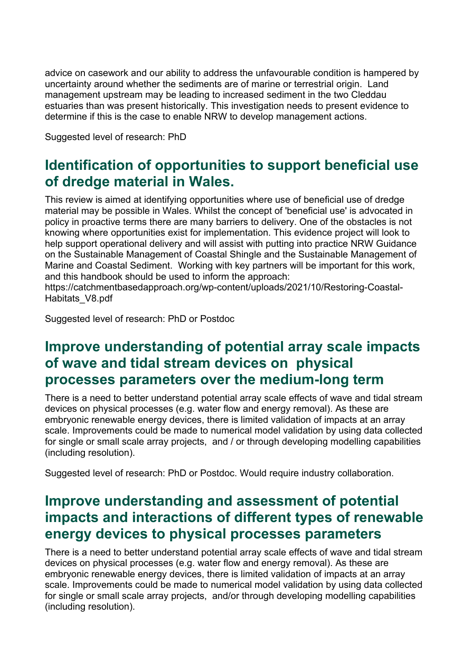advice on casework and our ability to address the unfavourable condition is hampered by uncertainty around whether the sediments are of marine or terrestrial origin. Land management upstream may be leading to increased sediment in the two Cleddau estuaries than was present historically. This investigation needs to present evidence to determine if this is the case to enable NRW to develop management actions.

Suggested level of research: PhD

# <span id="page-24-0"></span>**Identification of opportunities to support beneficial use of dredge material in Wales.**

This review is aimed at identifying opportunities where use of beneficial use of dredge material may be possible in Wales. Whilst the concept of 'beneficial use' is advocated in policy in proactive terms there are many barriers to delivery. One of the obstacles is not knowing where opportunities exist for implementation. This evidence project will look to help support operational delivery and will assist with putting into practice NRW Guidance on the Sustainable Management of Coastal Shingle and the Sustainable Management of Marine and Coastal Sediment. Working with key partners will be important for this work, and this handbook should be used to inform the approach:

https://catchmentbasedapproach.org/wp-content/uploads/2021/10/Restoring-Coastal-Habitats\_V8.pdf

Suggested level of research: PhD or Postdoc

#### <span id="page-24-1"></span>**Improve understanding of potential array scale impacts of wave and tidal stream devices on physical processes parameters over the medium-long term**

There is a need to better understand potential array scale effects of wave and tidal stream devices on physical processes (e.g. water flow and energy removal). As these are embryonic renewable energy devices, there is limited validation of impacts at an array scale. Improvements could be made to numerical model validation by using data collected for single or small scale array projects, and / or through developing modelling capabilities (including resolution).

Suggested level of research: PhD or Postdoc. Would require industry collaboration.

# <span id="page-24-2"></span>**Improve understanding and assessment of potential impacts and interactions of different types of renewable energy devices to physical processes parameters**

There is a need to better understand potential array scale effects of wave and tidal stream devices on physical processes (e.g. water flow and energy removal). As these are embryonic renewable energy devices, there is limited validation of impacts at an array scale. Improvements could be made to numerical model validation by using data collected for single or small scale array projects, and/or through developing modelling capabilities (including resolution).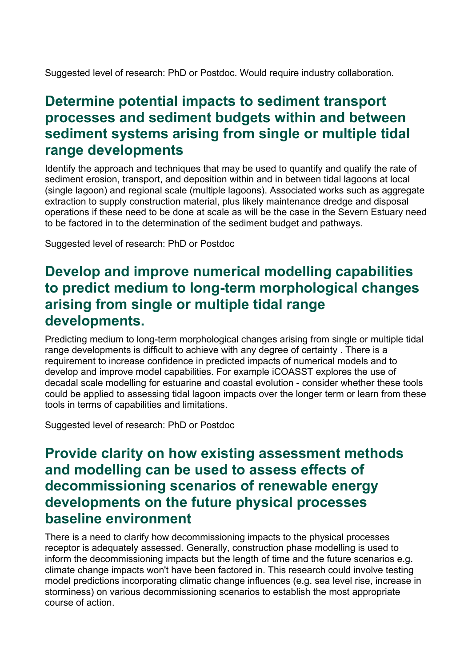Suggested level of research: PhD or Postdoc. Would require industry collaboration.

#### <span id="page-25-0"></span>**Determine potential impacts to sediment transport processes and sediment budgets within and between sediment systems arising from single or multiple tidal range developments**

Identify the approach and techniques that may be used to quantify and qualify the rate of sediment erosion, transport, and deposition within and in between tidal lagoons at local (single lagoon) and regional scale (multiple lagoons). Associated works such as aggregate extraction to supply construction material, plus likely maintenance dredge and disposal operations if these need to be done at scale as will be the case in the Severn Estuary need to be factored in to the determination of the sediment budget and pathways.

Suggested level of research: PhD or Postdoc

#### <span id="page-25-1"></span>**Develop and improve numerical modelling capabilities to predict medium to long-term morphological changes arising from single or multiple tidal range developments.**

Predicting medium to long-term morphological changes arising from single or multiple tidal range developments is difficult to achieve with any degree of certainty . There is a requirement to increase confidence in predicted impacts of numerical models and to develop and improve model capabilities. For example iCOASST explores the use of decadal scale modelling for estuarine and coastal evolution - consider whether these tools could be applied to assessing tidal lagoon impacts over the longer term or learn from these tools in terms of capabilities and limitations.

Suggested level of research: PhD or Postdoc

#### <span id="page-25-2"></span>**Provide clarity on how existing assessment methods and modelling can be used to assess effects of decommissioning scenarios of renewable energy developments on the future physical processes baseline environment**

There is a need to clarify how decommissioning impacts to the physical processes receptor is adequately assessed. Generally, construction phase modelling is used to inform the decommissioning impacts but the length of time and the future scenarios e.g. climate change impacts won't have been factored in. This research could involve testing model predictions incorporating climatic change influences (e.g. sea level rise, increase in storminess) on various decommissioning scenarios to establish the most appropriate course of action.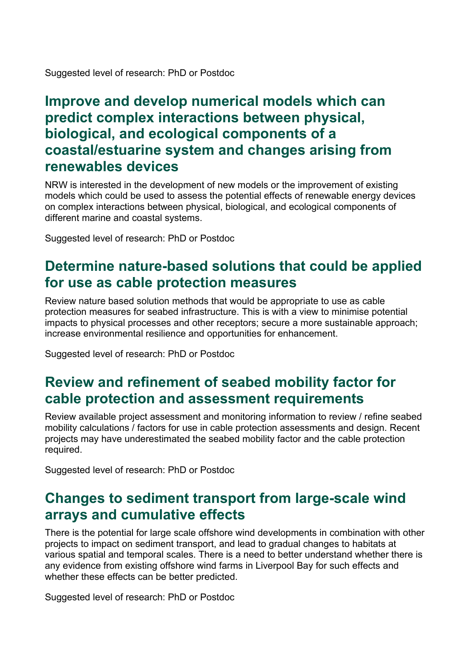Suggested level of research: PhD or Postdoc

#### <span id="page-26-0"></span>**Improve and develop numerical models which can predict complex interactions between physical, biological, and ecological components of a coastal/estuarine system and changes arising from renewables devices**

NRW is interested in the development of new models or the improvement of existing models which could be used to assess the potential effects of renewable energy devices on complex interactions between physical, biological, and ecological components of different marine and coastal systems.

Suggested level of research: PhD or Postdoc

# <span id="page-26-1"></span>**Determine nature-based solutions that could be applied for use as cable protection measures**

Review nature based solution methods that would be appropriate to use as cable protection measures for seabed infrastructure. This is with a view to minimise potential impacts to physical processes and other receptors; secure a more sustainable approach; increase environmental resilience and opportunities for enhancement.

Suggested level of research: PhD or Postdoc

# <span id="page-26-2"></span>**Review and refinement of seabed mobility factor for cable protection and assessment requirements**

Review available project assessment and monitoring information to review / refine seabed mobility calculations / factors for use in cable protection assessments and design. Recent projects may have underestimated the seabed mobility factor and the cable protection required.

Suggested level of research: PhD or Postdoc

#### <span id="page-26-3"></span>**Changes to sediment transport from large-scale wind arrays and cumulative effects**

There is the potential for large scale offshore wind developments in combination with other projects to impact on sediment transport, and lead to gradual changes to habitats at various spatial and temporal scales. There is a need to better understand whether there is any evidence from existing offshore wind farms in Liverpool Bay for such effects and whether these effects can be better predicted.

Suggested level of research: PhD or Postdoc